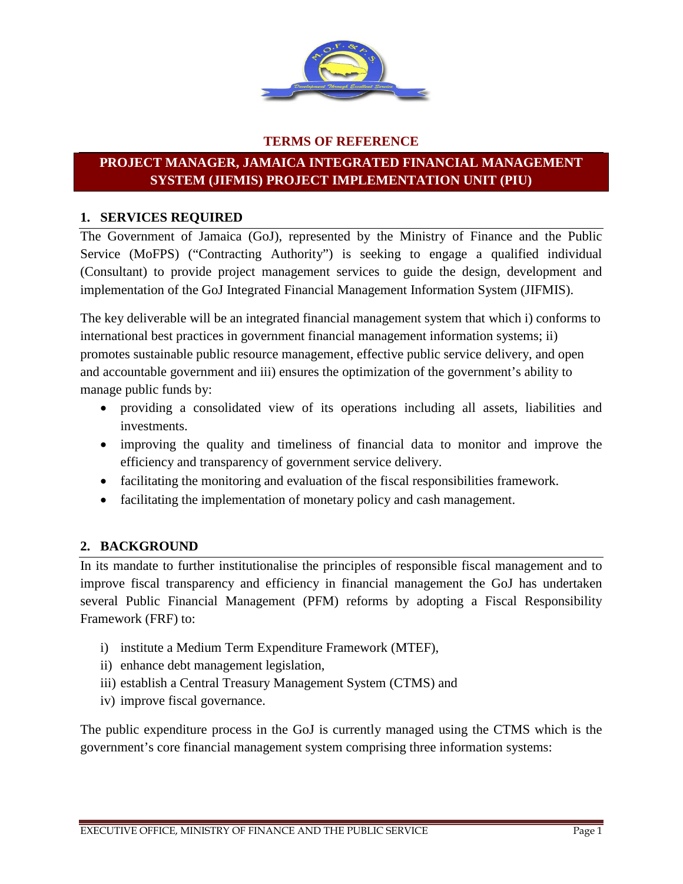

#### **TERMS OF REFERENCE**

# **PROJECT MANAGER, JAMAICA INTEGRATED FINANCIAL MANAGEMENT SYSTEM (JIFMIS) PROJECT IMPLEMENTATION UNIT (PIU)**

#### **1. SERVICES REQUIRED**

The Government of Jamaica (GoJ), represented by the Ministry of Finance and the Public Service (MoFPS) ("Contracting Authority") is seeking to engage a qualified individual (Consultant) to provide project management services to guide the design, development and implementation of the GoJ Integrated Financial Management Information System (JIFMIS).

The key deliverable will be an integrated financial management system that which i) conforms to international best practices in government financial management information systems; ii) promotes sustainable public resource management, effective public service delivery, and open and accountable government and iii) ensures the optimization of the government's ability to manage public funds by:

- providing a consolidated view of its operations including all assets, liabilities and investments.
- improving the quality and timeliness of financial data to monitor and improve the efficiency and transparency of government service delivery.
- facilitating the monitoring and evaluation of the fiscal responsibilities framework.
- facilitating the implementation of monetary policy and cash management.

#### **2. BACKGROUND**

In its mandate to further institutionalise the principles of responsible fiscal management and to improve fiscal transparency and efficiency in financial management the GoJ has undertaken several Public Financial Management (PFM) reforms by adopting a Fiscal Responsibility Framework (FRF) to:

- i) institute a Medium Term Expenditure Framework (MTEF),
- ii) enhance debt management legislation,
- iii) establish a Central Treasury Management System (CTMS) and
- iv) improve fiscal governance.

The public expenditure process in the GoJ is currently managed using the CTMS which is the government's core financial management system comprising three information systems: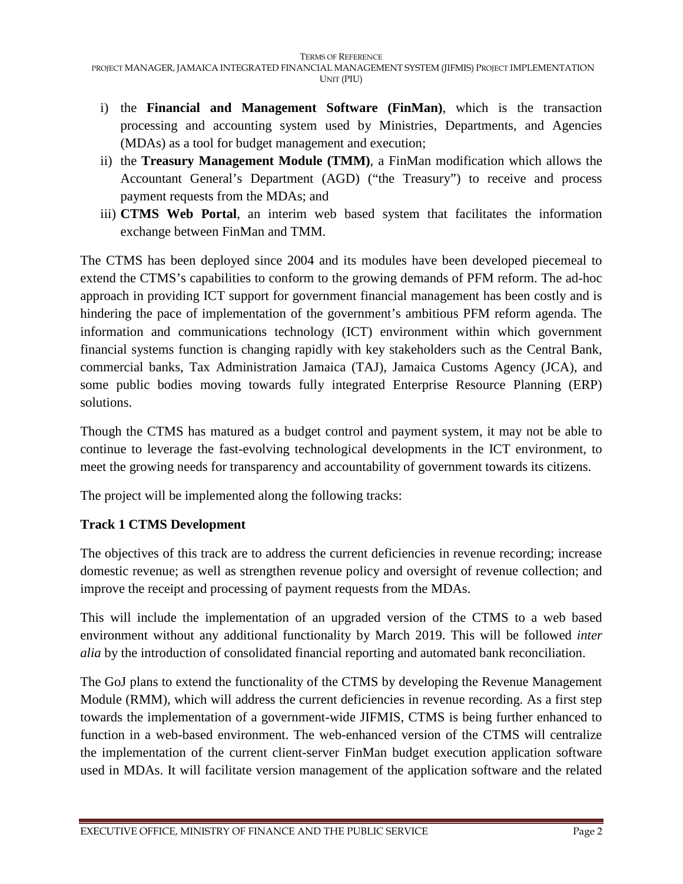- i) the **Financial and Management Software (FinMan)**, which is the transaction processing and accounting system used by Ministries, Departments, and Agencies (MDAs) as a tool for budget management and execution;
- ii) the **Treasury Management Module (TMM)**, a FinMan modification which allows the Accountant General's Department (AGD) ("the Treasury") to receive and process payment requests from the MDAs; and
- iii) **CTMS Web Portal**, an interim web based system that facilitates the information exchange between FinMan and TMM.

The CTMS has been deployed since 2004 and its modules have been developed piecemeal to extend the CTMS's capabilities to conform to the growing demands of PFM reform. The ad-hoc approach in providing ICT support for government financial management has been costly and is hindering the pace of implementation of the government's ambitious PFM reform agenda. The information and communications technology (ICT) environment within which government financial systems function is changing rapidly with key stakeholders such as the Central Bank, commercial banks, Tax Administration Jamaica (TAJ), Jamaica Customs Agency (JCA), and some public bodies moving towards fully integrated Enterprise Resource Planning (ERP) solutions.

Though the CTMS has matured as a budget control and payment system, it may not be able to continue to leverage the fast-evolving technological developments in the ICT environment, to meet the growing needs for transparency and accountability of government towards its citizens.

The project will be implemented along the following tracks:

# **Track 1 CTMS Development**

The objectives of this track are to address the current deficiencies in revenue recording; increase domestic revenue; as well as strengthen revenue policy and oversight of revenue collection; and improve the receipt and processing of payment requests from the MDAs.

This will include the implementation of an upgraded version of the CTMS to a web based environment without any additional functionality by March 2019. This will be followed *inter alia* by the introduction of consolidated financial reporting and automated bank reconciliation.

The GoJ plans to extend the functionality of the CTMS by developing the Revenue Management Module (RMM), which will address the current deficiencies in revenue recording. As a first step towards the implementation of a government-wide JIFMIS, CTMS is being further enhanced to function in a web-based environment. The web-enhanced version of the CTMS will centralize the implementation of the current client-server FinMan budget execution application software used in MDAs. It will facilitate version management of the application software and the related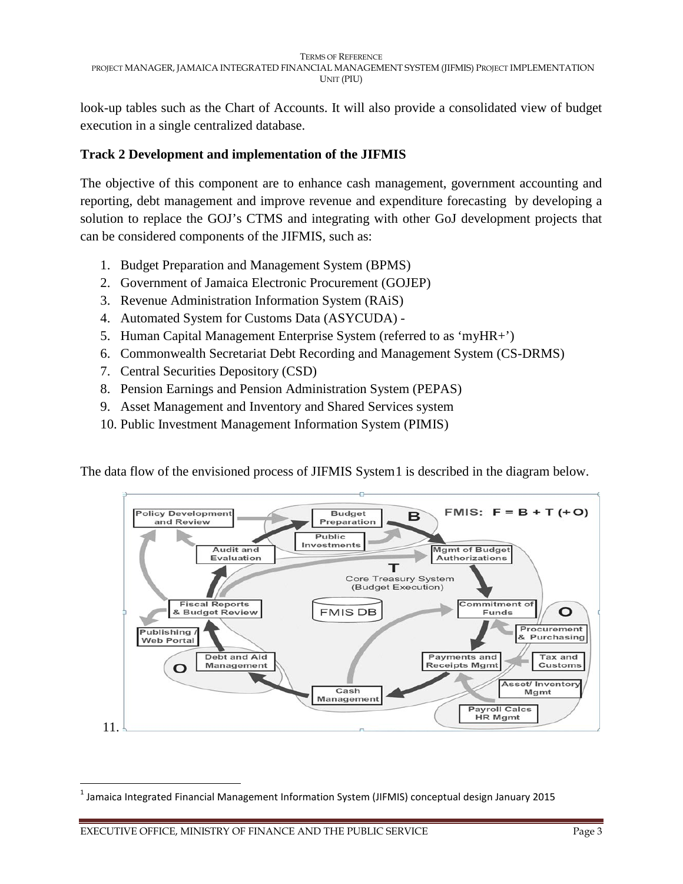look-up tables such as the Chart of Accounts. It will also provide a consolidated view of budget execution in a single centralized database.

### **Track 2 Development and implementation of the JIFMIS**

The objective of this component are to enhance cash management, government accounting and reporting, debt management and improve revenue and expenditure forecasting by developing a solution to replace the GOJ's CTMS and integrating with other GoJ development projects that can be considered components of the JIFMIS, such as:

- 1. Budget Preparation and Management System (BPMS)
- 2. Government of Jamaica Electronic Procurement (GOJEP)
- 3. Revenue Administration Information System (RAiS)
- 4. Automated System for Customs Data (ASYCUDA) -
- 5. Human Capital Management Enterprise System (referred to as 'myHR+')
- 6. Commonwealth Secretariat Debt Recording and Management System (CS-DRMS)
- 7. Central Securities Depository (CSD)
- 8. Pension Earnings and Pension Administration System (PEPAS)
- 9. Asset Management and Inventory and Shared Services system
- 10. Public Investment Management Information System (PIMIS)

The data flow of the envisioned process of JIFMIS System [1](#page-2-0) is described in the diagram below.



<span id="page-2-0"></span><sup>1</sup> Jamaica Integrated Financial Management Information System (JIFMIS) conceptual design January 2015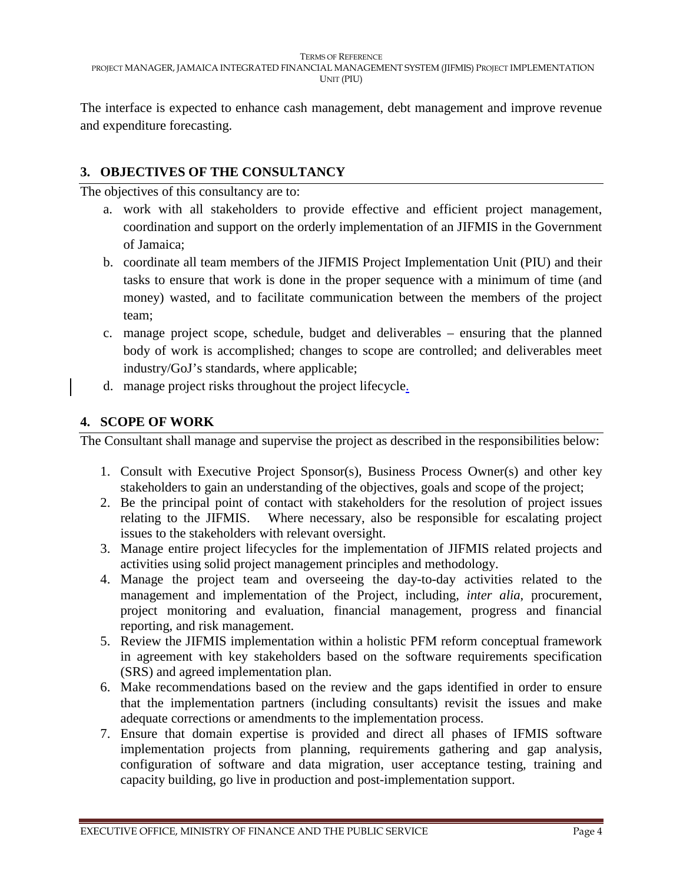The interface is expected to enhance cash management, debt management and improve revenue and expenditure forecasting.

# **3. OBJECTIVES OF THE CONSULTANCY**

The objectives of this consultancy are to:

- a. work with all stakeholders to provide effective and efficient project management, coordination and support on the orderly implementation of an JIFMIS in the Government of Jamaica;
- b. coordinate all team members of the JIFMIS Project Implementation Unit (PIU) and their tasks to ensure that work is done in the proper sequence with a minimum of time (and money) wasted, and to facilitate communication between the members of the project team;
- c. manage project scope, schedule, budget and deliverables ensuring that the planned body of work is accomplished; changes to scope are controlled; and deliverables meet industry/GoJ's standards, where applicable;
- d. manage project risks throughout the project lifecycle.

## **4. SCOPE OF WORK**

The Consultant shall manage and supervise the project as described in the responsibilities below:

- 1. Consult with Executive Project Sponsor(s), Business Process Owner(s) and other key stakeholders to gain an understanding of the objectives, goals and scope of the project;
- 2. Be the principal point of contact with stakeholders for the resolution of project issues relating to the JIFMIS. Where necessary, also be responsible for escalating project issues to the stakeholders with relevant oversight.
- 3. Manage entire project lifecycles for the implementation of JIFMIS related projects and activities using solid project management principles and methodology.
- 4. Manage the project team and overseeing the day-to-day activities related to the management and implementation of the Project, including, *inter alia*, procurement, project monitoring and evaluation, financial management, progress and financial reporting, and risk management.
- 5. Review the JIFMIS implementation within a holistic PFM reform conceptual framework in agreement with key stakeholders based on the software requirements specification (SRS) and agreed implementation plan.
- 6. Make recommendations based on the review and the gaps identified in order to ensure that the implementation partners (including consultants) revisit the issues and make adequate corrections or amendments to the implementation process.
- 7. Ensure that domain expertise is provided and direct all phases of IFMIS software implementation projects from planning, requirements gathering and gap analysis, configuration of software and data migration, user acceptance testing, training and capacity building, go live in production and post-implementation support.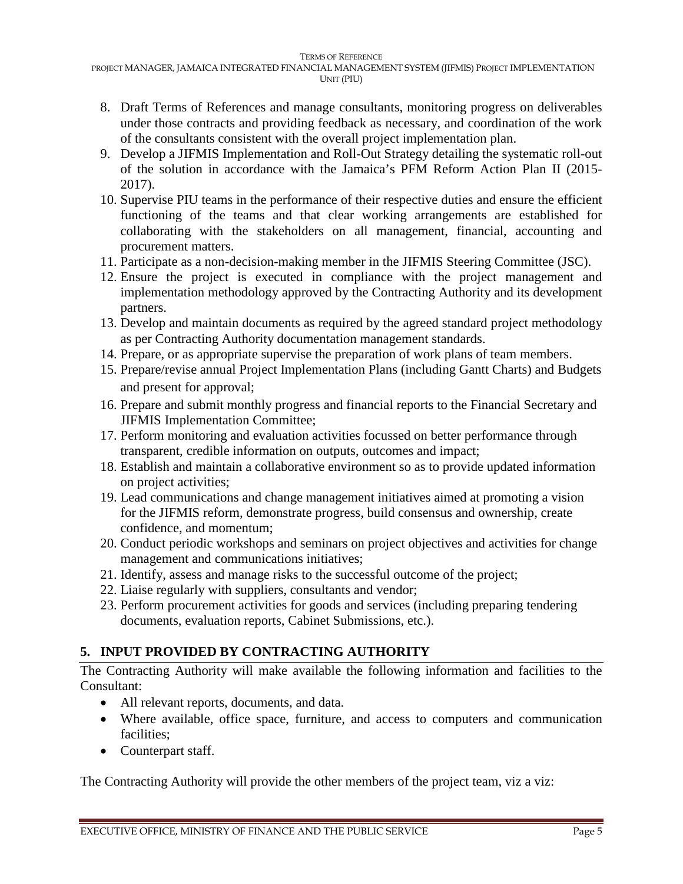- 8. Draft Terms of References and manage consultants, monitoring progress on deliverables under those contracts and providing feedback as necessary, and coordination of the work of the consultants consistent with the overall project implementation plan.
- 9. Develop a JIFMIS Implementation and Roll-Out Strategy detailing the systematic roll-out of the solution in accordance with the Jamaica's PFM Reform Action Plan II (2015- 2017).
- 10. Supervise PIU teams in the performance of their respective duties and ensure the efficient functioning of the teams and that clear working arrangements are established for collaborating with the stakeholders on all management, financial, accounting and procurement matters.
- 11. Participate as a non-decision-making member in the JIFMIS Steering Committee (JSC).
- 12. Ensure the project is executed in compliance with the project management and implementation methodology approved by the Contracting Authority and its development partners.
- 13. Develop and maintain documents as required by the agreed standard project methodology as per Contracting Authority documentation management standards.
- 14. Prepare, or as appropriate supervise the preparation of work plans of team members.
- 15. Prepare/revise annual Project Implementation Plans (including Gantt Charts) and Budgets and present for approval;
- 16. Prepare and submit monthly progress and financial reports to the Financial Secretary and JIFMIS Implementation Committee;
- 17. Perform monitoring and evaluation activities focussed on better performance through transparent, credible information on outputs, outcomes and impact;
- 18. Establish and maintain a collaborative environment so as to provide updated information on project activities;
- 19. Lead communications and change management initiatives aimed at promoting a vision for the JIFMIS reform, demonstrate progress, build consensus and ownership, create confidence, and momentum;
- 20. Conduct periodic workshops and seminars on project objectives and activities for change management and communications initiatives;
- 21. Identify, assess and manage risks to the successful outcome of the project;
- 22. Liaise regularly with suppliers, consultants and vendor;
- 23. Perform procurement activities for goods and services (including preparing tendering documents, evaluation reports, Cabinet Submissions, etc.).

# **5. INPUT PROVIDED BY CONTRACTING AUTHORITY**

The Contracting Authority will make available the following information and facilities to the Consultant:

- All relevant reports, documents, and data.
- Where available, office space, furniture, and access to computers and communication facilities:
- Counterpart staff.

The Contracting Authority will provide the other members of the project team, viz a viz: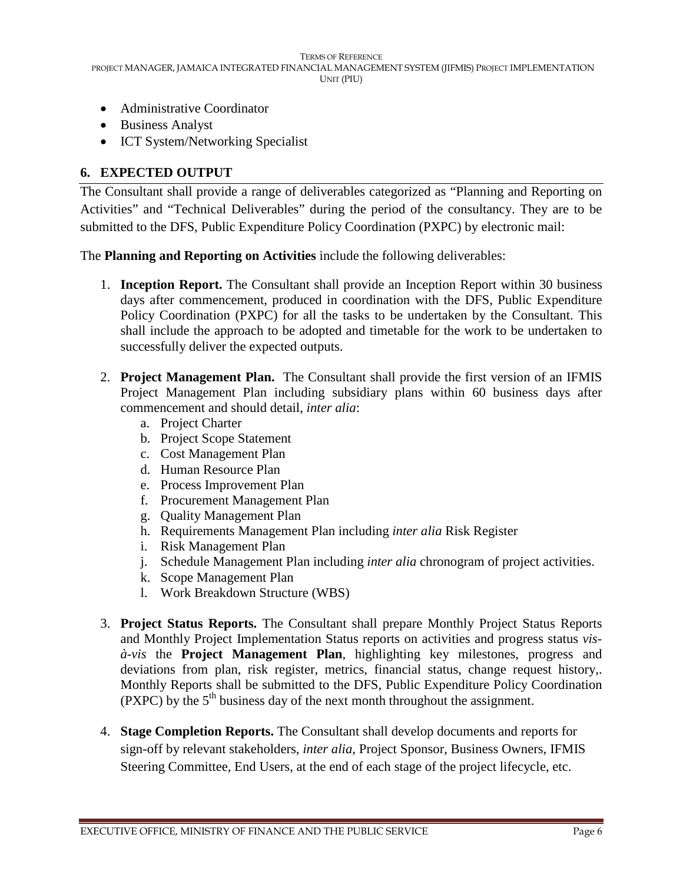- Administrative Coordinator
- Business Analyst
- ICT System/Networking Specialist

#### **6. EXPECTED OUTPUT**

The Consultant shall provide a range of deliverables categorized as "Planning and Reporting on Activities" and "Technical Deliverables" during the period of the consultancy. They are to be submitted to the DFS, Public Expenditure Policy Coordination (PXPC) by electronic mail:

The **Planning and Reporting on Activities** include the following deliverables:

- 1. **Inception Report.** The Consultant shall provide an Inception Report within 30 business days after commencement, produced in coordination with the DFS, Public Expenditure Policy Coordination (PXPC) for all the tasks to be undertaken by the Consultant. This shall include the approach to be adopted and timetable for the work to be undertaken to successfully deliver the expected outputs.
- 2. **Project Management Plan.** The Consultant shall provide the first version of an IFMIS Project Management Plan including subsidiary plans within 60 business days after commencement and should detail, *inter alia*:
	- a. Project Charter
	- b. Project Scope Statement
	- c. Cost Management Plan
	- d. Human Resource Plan
	- e. Process Improvement Plan
	- f. Procurement Management Plan
	- g. Quality Management Plan
	- h. Requirements Management Plan including *inter alia* Risk Register
	- i. Risk Management Plan
	- j. Schedule Management Plan including *inter alia* chronogram of project activities.
	- k. Scope Management Plan
	- l. Work Breakdown Structure (WBS)
- 3. **Project Status Reports.** The Consultant shall prepare Monthly Project Status Reports and Monthly Project Implementation Status reports on activities and progress status *visà-vis* the **Project Management Plan**, highlighting key milestones, progress and deviations from plan, risk register, metrics, financial status, change request history,. Monthly Reports shall be submitted to the DFS, Public Expenditure Policy Coordination (PXPC) by the  $5<sup>th</sup>$  business day of the next month throughout the assignment.
- 4. **Stage Completion Reports.** The Consultant shall develop documents and reports for sign-off by relevant stakeholders, *inter alia*, Project Sponsor, Business Owners, IFMIS Steering Committee, End Users, at the end of each stage of the project lifecycle, etc.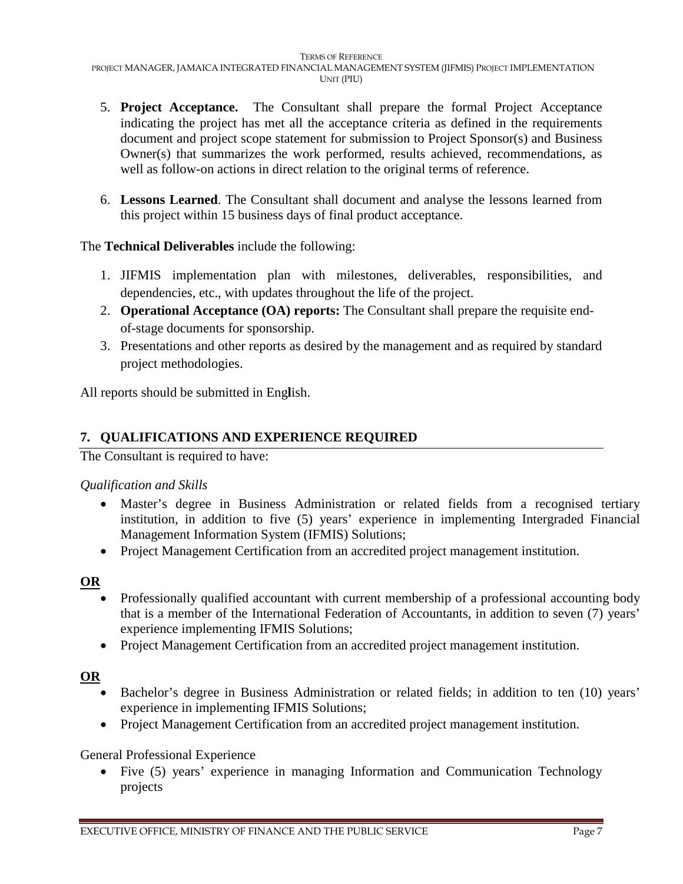- 5. **Project Acceptance.** The Consultant shall prepare the formal Project Acceptance indicating the project has met all the acceptance criteria as defined in the requirements document and project scope statement for submission to Project Sponsor(s) and Business Owner(s) that summarizes the work performed, results achieved, recommendations, as well as follow-on actions in direct relation to the original terms of reference.
- 6. **Lessons Learned**. The Consultant shall document and analyse the lessons learned from this project within 15 business days of final product acceptance.

The **Technical Deliverables** include the following:

- 1. JIFMIS implementation plan with milestones, deliverables, responsibilities, and dependencies, etc., with updates throughout the life of the project.
- 2. **Operational Acceptance (OA) reports:** The Consultant shall prepare the requisite endof-stage documents for sponsorship.
- 3. Presentations and other reports as desired by the management and as required by standard project methodologies.

All reports should be submitted in Eng**l**ish.

## **7. QUALIFICATIONS AND EXPERIENCE REQUIRED**

The Consultant is required to have:

#### *Qualification and Skills*

- Master's degree in Business Administration or related fields from a recognised tertiary institution, in addition to five (5) years' experience in implementing Intergraded Financial Management Information System (IFMIS) Solutions;
- Project Management Certification from an accredited project management institution.

#### **OR**

- Professionally qualified accountant with current membership of a professional accounting body that is a member of the International Federation of Accountants, in addition to seven (7) years' experience implementing IFMIS Solutions;
- Project Management Certification from an accredited project management institution.

#### **OR**

- Bachelor's degree in Business Administration or related fields; in addition to ten (10) years' experience in implementing IFMIS Solutions;
- Project Management Certification from an accredited project management institution.

General Professional Experience

• Five (5) years' experience in managing Information and Communication Technology projects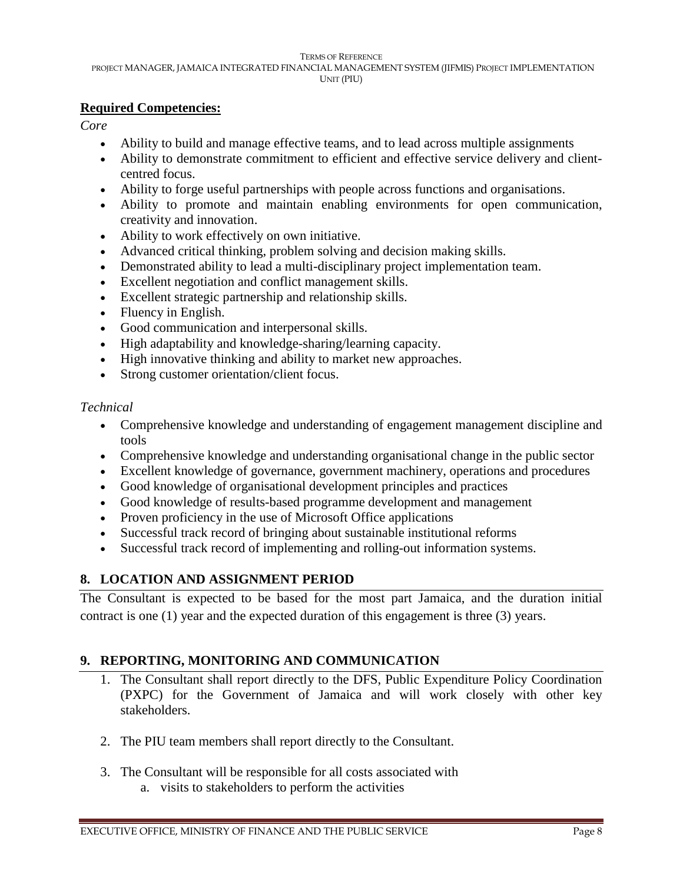# **Required Competencies:**

*Core*

- Ability to build and manage effective teams, and to lead across multiple assignments
- Ability to demonstrate commitment to efficient and effective service delivery and clientcentred focus.
- Ability to forge useful partnerships with people across functions and organisations.
- Ability to promote and maintain enabling environments for open communication, creativity and innovation.
- Ability to work effectively on own initiative.
- Advanced critical thinking, problem solving and decision making skills.
- Demonstrated ability to lead a multi-disciplinary project implementation team.
- Excellent negotiation and conflict management skills.
- Excellent strategic partnership and relationship skills.
- Fluency in English.
- Good communication and interpersonal skills.
- High adaptability and knowledge-sharing/learning capacity.
- High innovative thinking and ability to market new approaches.
- Strong customer orientation/client focus.

## *Technical*

- Comprehensive knowledge and understanding of engagement management discipline and tools
- Comprehensive knowledge and understanding organisational change in the public sector
- Excellent knowledge of governance, government machinery, operations and procedures
- Good knowledge of organisational development principles and practices
- Good knowledge of results-based programme development and management
- Proven proficiency in the use of Microsoft Office applications
- Successful track record of bringing about sustainable institutional reforms
- Successful track record of implementing and rolling-out information systems.

# **8. LOCATION AND ASSIGNMENT PERIOD**

The Consultant is expected to be based for the most part Jamaica, and the duration initial contract is one (1) year and the expected duration of this engagement is three (3) years.

# **9. REPORTING, MONITORING AND COMMUNICATION**

- 1. The Consultant shall report directly to the DFS, Public Expenditure Policy Coordination (PXPC) for the Government of Jamaica and will work closely with other key stakeholders.
- 2. The PIU team members shall report directly to the Consultant.
- 3. The Consultant will be responsible for all costs associated with a. visits to stakeholders to perform the activities